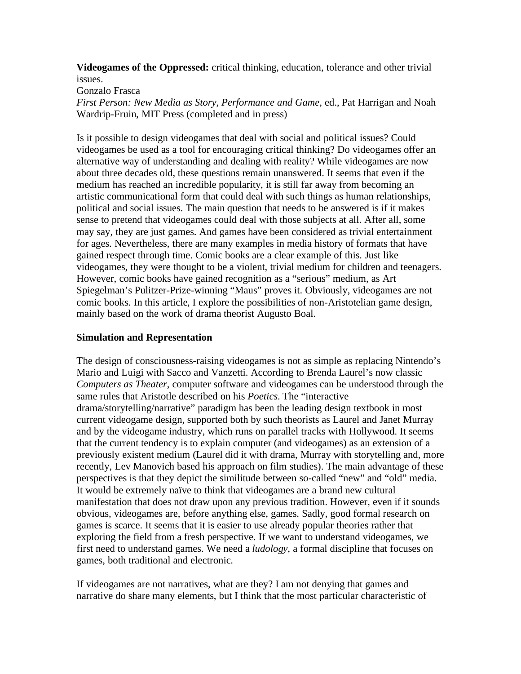**Videogames of the Oppressed:** critical thinking, education, tolerance and other trivial issues.

Gonzalo Frasca

*First Person: New Media as Story, Performance and Game,* ed., Pat Harrigan and Noah Wardrip-Fruin, MIT Press (completed and in press)

Is it possible to design videogames that deal with social and political issues? Could videogames be used as a tool for encouraging critical thinking? Do videogames offer an alternative way of understanding and dealing with reality? While videogames are now about three decades old, these questions remain unanswered. It seems that even if the medium has reached an incredible popularity, it is still far away from becoming an artistic communicational form that could deal with such things as human relationships, political and social issues. The main question that needs to be answered is if it makes sense to pretend that videogames could deal with those subjects at all. After all, some may say, they are just games. And games have been considered as trivial entertainment for ages. Nevertheless, there are many examples in media history of formats that have gained respect through time. Comic books are a clear example of this. Just like videogames, they were thought to be a violent, trivial medium for children and teenagers. However, comic books have gained recognition as a "serious" medium, as Art Spiegelman's Pulitzer-Prize-winning "Maus" proves it. Obviously, videogames are not comic books. In this article, I explore the possibilities of non-Aristotelian game design, mainly based on the work of drama theorist Augusto Boal.

### **Simulation and Representation**

The design of consciousness-raising videogames is not as simple as replacing Nintendo's Mario and Luigi with Sacco and Vanzetti. According to Brenda Laurel's now classic *Computers as Theater*, computer software and videogames can be understood through the same rules that Aristotle described on his *Poetics*. The "interactive drama/storytelling/narrative" paradigm has been the leading design textbook in most current videogame design, supported both by such theorists as Laurel and Janet Murray and by the videogame industry, which runs on parallel tracks with Hollywood. It seems that the current tendency is to explain computer (and videogames) as an extension of a previously existent medium (Laurel did it with drama, Murray with storytelling and, more recently, Lev Manovich based his approach on film studies). The main advantage of these perspectives is that they depict the similitude between so-called "new" and "old" media. It would be extremely naïve to think that videogames are a brand new cultural manifestation that does not draw upon any previous tradition. However, even if it sounds obvious, videogames are, before anything else, games. Sadly, good formal research on games is scarce. It seems that it is easier to use already popular theories rather that exploring the field from a fresh perspective. If we want to understand videogames, we first need to understand games. We need a *ludology*, a formal discipline that focuses on games, both traditional and electronic.

If videogames are not narratives, what are they? I am not denying that games and narrative do share many elements, but I think that the most particular characteristic of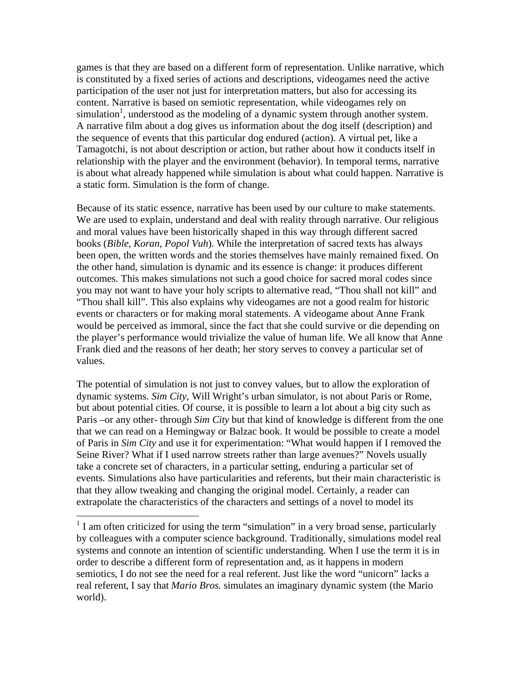games is that they are based on a different form of representation. Unlike narrative, which is constituted by a fixed series of actions and descriptions, videogames need the active participation of the user not just for interpretation matters, but also for accessing its content. Narrative is based on semiotic representation, while videogames rely on simulation<sup>1</sup>, understood as the modeling of a dynamic system through another system. A narrative film about a dog gives us information about the dog itself (description) and the sequence of events that this particular dog endured (action). A virtual pet, like a Tamagotchi, is not about description or action, but rather about how it conducts itself in relationship with the player and the environment (behavior). In temporal terms, narrative is about what already happened while simulation is about what could happen. Narrative is a static form. Simulation is the form of change.

Because of its static essence, narrative has been used by our culture to make statements. We are used to explain, understand and deal with reality through narrative. Our religious and moral values have been historically shaped in this way through different sacred books (*Bible*, *Koran*, *Popol Vuh*). While the interpretation of sacred texts has always been open, the written words and the stories themselves have mainly remained fixed. On the other hand, simulation is dynamic and its essence is change: it produces different outcomes. This makes simulations not such a good choice for sacred moral codes since you may not want to have your holy scripts to alternative read, "Thou shall not kill" and "Thou shall kill". This also explains why videogames are not a good realm for historic events or characters or for making moral statements. A videogame about Anne Frank would be perceived as immoral, since the fact that she could survive or die depending on the player's performance would trivialize the value of human life. We all know that Anne Frank died and the reasons of her death; her story serves to convey a particular set of values.

The potential of simulation is not just to convey values, but to allow the exploration of dynamic systems. *Sim City*, Will Wright's urban simulator, is not about Paris or Rome, but about potential cities. Of course, it is possible to learn a lot about a big city such as Paris –or any other- through *Sim City* but that kind of knowledge is different from the one that we can read on a Hemingway or Balzac book. It would be possible to create a model of Paris in *Sim City* and use it for experimentation: "What would happen if I removed the Seine River? What if I used narrow streets rather than large avenues?" Novels usually take a concrete set of characters, in a particular setting, enduring a particular set of events. Simulations also have particularities and referents, but their main characteristic is that they allow tweaking and changing the original model. Certainly, a reader can extrapolate the characteristics of the characters and settings of a novel to model its

 $\overline{a}$ 

 $<sup>1</sup>$  I am often criticized for using the term "simulation" in a very broad sense, particularly</sup> by colleagues with a computer science background. Traditionally, simulations model real systems and connote an intention of scientific understanding. When I use the term it is in order to describe a different form of representation and, as it happens in modern semiotics, I do not see the need for a real referent. Just like the word "unicorn" lacks a real referent, I say that *Mario Bros.* simulates an imaginary dynamic system (the Mario world).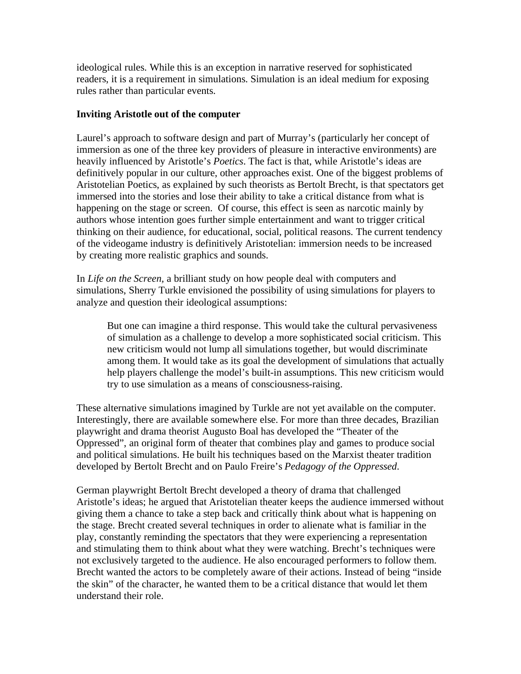ideological rules. While this is an exception in narrative reserved for sophisticated readers, it is a requirement in simulations. Simulation is an ideal medium for exposing rules rather than particular events.

## **Inviting Aristotle out of the computer**

Laurel's approach to software design and part of Murray's (particularly her concept of immersion as one of the three key providers of pleasure in interactive environments) are heavily influenced by Aristotle's *Poetics*. The fact is that, while Aristotle's ideas are definitively popular in our culture, other approaches exist. One of the biggest problems of Aristotelian Poetics, as explained by such theorists as Bertolt Brecht, is that spectators get immersed into the stories and lose their ability to take a critical distance from what is happening on the stage or screen. Of course, this effect is seen as narcotic mainly by authors whose intention goes further simple entertainment and want to trigger critical thinking on their audience, for educational, social, political reasons. The current tendency of the videogame industry is definitively Aristotelian: immersion needs to be increased by creating more realistic graphics and sounds.

In *Life on the Screen,* a brilliant study on how people deal with computers and simulations, Sherry Turkle envisioned the possibility of using simulations for players to analyze and question their ideological assumptions:

But one can imagine a third response. This would take the cultural pervasiveness of simulation as a challenge to develop a more sophisticated social criticism. This new criticism would not lump all simulations together, but would discriminate among them. It would take as its goal the development of simulations that actually help players challenge the model's built-in assumptions. This new criticism would try to use simulation as a means of consciousness-raising.

These alternative simulations imagined by Turkle are not yet available on the computer. Interestingly, there are available somewhere else. For more than three decades, Brazilian playwright and drama theorist Augusto Boal has developed the "Theater of the Oppressed", an original form of theater that combines play and games to produce social and political simulations. He built his techniques based on the Marxist theater tradition developed by Bertolt Brecht and on Paulo Freire's *Pedagogy of the Oppressed*.

German playwright Bertolt Brecht developed a theory of drama that challenged Aristotle's ideas; he argued that Aristotelian theater keeps the audience immersed without giving them a chance to take a step back and critically think about what is happening on the stage. Brecht created several techniques in order to alienate what is familiar in the play, constantly reminding the spectators that they were experiencing a representation and stimulating them to think about what they were watching. Brecht's techniques were not exclusively targeted to the audience. He also encouraged performers to follow them. Brecht wanted the actors to be completely aware of their actions. Instead of being "inside the skin" of the character, he wanted them to be a critical distance that would let them understand their role.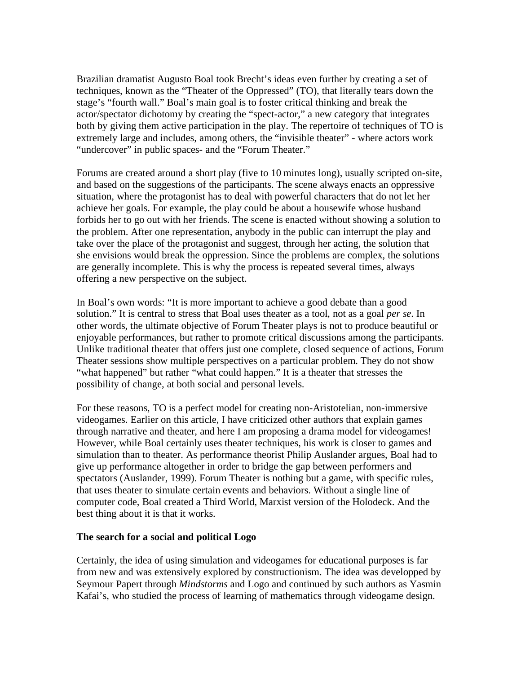Brazilian dramatist Augusto Boal took Brecht's ideas even further by creating a set of techniques, known as the "Theater of the Oppressed" (TO), that literally tears down the stage's "fourth wall." Boal's main goal is to foster critical thinking and break the actor/spectator dichotomy by creating the "spect-actor," a new category that integrates both by giving them active participation in the play. The repertoire of techniques of TO is extremely large and includes, among others, the "invisible theater" - where actors work "undercover" in public spaces- and the "Forum Theater."

Forums are created around a short play (five to 10 minutes long), usually scripted on-site, and based on the suggestions of the participants. The scene always enacts an oppressive situation, where the protagonist has to deal with powerful characters that do not let her achieve her goals. For example, the play could be about a housewife whose husband forbids her to go out with her friends. The scene is enacted without showing a solution to the problem. After one representation, anybody in the public can interrupt the play and take over the place of the protagonist and suggest, through her acting, the solution that she envisions would break the oppression. Since the problems are complex, the solutions are generally incomplete. This is why the process is repeated several times, always offering a new perspective on the subject.

In Boal's own words: "It is more important to achieve a good debate than a good solution." It is central to stress that Boal uses theater as a tool, not as a goal *per se*. In other words, the ultimate objective of Forum Theater plays is not to produce beautiful or enjoyable performances, but rather to promote critical discussions among the participants. Unlike traditional theater that offers just one complete, closed sequence of actions, Forum Theater sessions show multiple perspectives on a particular problem. They do not show "what happened" but rather "what could happen." It is a theater that stresses the possibility of change, at both social and personal levels.

For these reasons, TO is a perfect model for creating non-Aristotelian, non-immersive videogames. Earlier on this article, I have criticized other authors that explain games through narrative and theater, and here I am proposing a drama model for videogames! However, while Boal certainly uses theater techniques, his work is closer to games and simulation than to theater. As performance theorist Philip Auslander argues, Boal had to give up performance altogether in order to bridge the gap between performers and spectators (Auslander, 1999). Forum Theater is nothing but a game, with specific rules, that uses theater to simulate certain events and behaviors. Without a single line of computer code, Boal created a Third World, Marxist version of the Holodeck. And the best thing about it is that it works.

#### **The search for a social and political Logo**

Certainly, the idea of using simulation and videogames for educational purposes is far from new and was extensively explored by constructionism. The idea was developped by Seymour Papert through *Mindstorms* and Logo and continued by such authors as Yasmin Kafai's, who studied the process of learning of mathematics through videogame design.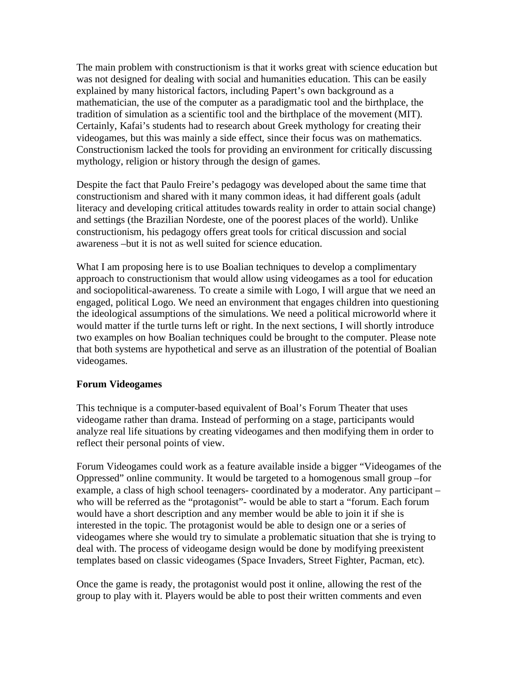The main problem with constructionism is that it works great with science education but was not designed for dealing with social and humanities education. This can be easily explained by many historical factors, including Papert's own background as a mathematician, the use of the computer as a paradigmatic tool and the birthplace, the tradition of simulation as a scientific tool and the birthplace of the movement (MIT). Certainly, Kafai's students had to research about Greek mythology for creating their videogames, but this was mainly a side effect, since their focus was on mathematics. Constructionism lacked the tools for providing an environment for critically discussing mythology, religion or history through the design of games.

Despite the fact that Paulo Freire's pedagogy was developed about the same time that constructionism and shared with it many common ideas, it had different goals (adult literacy and developing critical attitudes towards reality in order to attain social change) and settings (the Brazilian Nordeste, one of the poorest places of the world). Unlike constructionism, his pedagogy offers great tools for critical discussion and social awareness –but it is not as well suited for science education.

What I am proposing here is to use Boalian techniques to develop a complimentary approach to constructionism that would allow using videogames as a tool for education and sociopolitical-awareness. To create a simile with Logo, I will argue that we need an engaged, political Logo. We need an environment that engages children into questioning the ideological assumptions of the simulations. We need a political microworld where it would matter if the turtle turns left or right. In the next sections, I will shortly introduce two examples on how Boalian techniques could be brought to the computer. Please note that both systems are hypothetical and serve as an illustration of the potential of Boalian videogames.

#### **Forum Videogames**

This technique is a computer-based equivalent of Boal's Forum Theater that uses videogame rather than drama. Instead of performing on a stage, participants would analyze real life situations by creating videogames and then modifying them in order to reflect their personal points of view.

Forum Videogames could work as a feature available inside a bigger "Videogames of the Oppressed" online community. It would be targeted to a homogenous small group –for example, a class of high school teenagers- coordinated by a moderator. Any participant – who will be referred as the "protagonist"- would be able to start a "forum. Each forum would have a short description and any member would be able to join it if she is interested in the topic. The protagonist would be able to design one or a series of videogames where she would try to simulate a problematic situation that she is trying to deal with. The process of videogame design would be done by modifying preexistent templates based on classic videogames (Space Invaders, Street Fighter, Pacman, etc).

Once the game is ready, the protagonist would post it online, allowing the rest of the group to play with it. Players would be able to post their written comments and even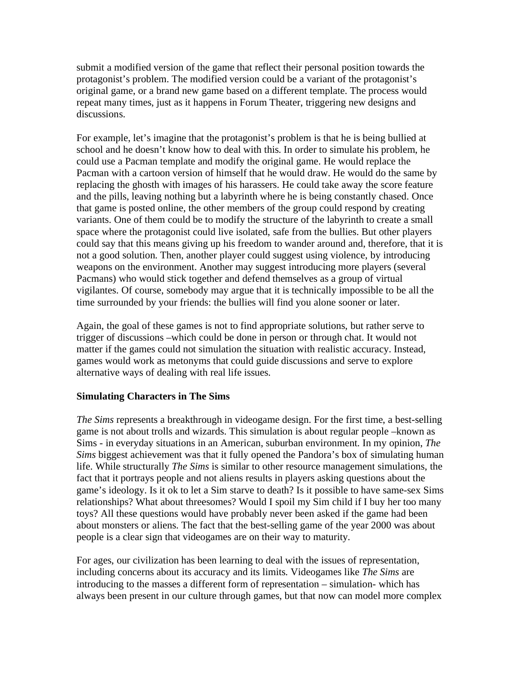submit a modified version of the game that reflect their personal position towards the protagonist's problem. The modified version could be a variant of the protagonist's original game, or a brand new game based on a different template. The process would repeat many times, just as it happens in Forum Theater, triggering new designs and discussions.

For example, let's imagine that the protagonist's problem is that he is being bullied at school and he doesn't know how to deal with this. In order to simulate his problem, he could use a Pacman template and modify the original game. He would replace the Pacman with a cartoon version of himself that he would draw. He would do the same by replacing the ghosth with images of his harassers. He could take away the score feature and the pills, leaving nothing but a labyrinth where he is being constantly chased. Once that game is posted online, the other members of the group could respond by creating variants. One of them could be to modify the structure of the labyrinth to create a small space where the protagonist could live isolated, safe from the bullies. But other players could say that this means giving up his freedom to wander around and, therefore, that it is not a good solution. Then, another player could suggest using violence, by introducing weapons on the environment. Another may suggest introducing more players (several Pacmans) who would stick together and defend themselves as a group of virtual vigilantes. Of course, somebody may argue that it is technically impossible to be all the time surrounded by your friends: the bullies will find you alone sooner or later.

Again, the goal of these games is not to find appropriate solutions, but rather serve to trigger of discussions –which could be done in person or through chat. It would not matter if the games could not simulation the situation with realistic accuracy. Instead, games would work as metonyms that could guide discussions and serve to explore alternative ways of dealing with real life issues.

#### **Simulating Characters in The Sims**

*The Sims* represents a breakthrough in videogame design. For the first time, a best-selling game is not about trolls and wizards. This simulation is about regular people –known as Sims - in everyday situations in an American, suburban environment. In my opinion, *The Sims* biggest achievement was that it fully opened the Pandora's box of simulating human life. While structurally *The Sims* is similar to other resource management simulations, the fact that it portrays people and not aliens results in players asking questions about the game's ideology. Is it ok to let a Sim starve to death? Is it possible to have same-sex Sims relationships? What about threesomes? Would I spoil my Sim child if I buy her too many toys? All these questions would have probably never been asked if the game had been about monsters or aliens. The fact that the best-selling game of the year 2000 was about people is a clear sign that videogames are on their way to maturity.

For ages, our civilization has been learning to deal with the issues of representation, including concerns about its accuracy and its limits. Videogames like *The Sims* are introducing to the masses a different form of representation – simulation- which has always been present in our culture through games, but that now can model more complex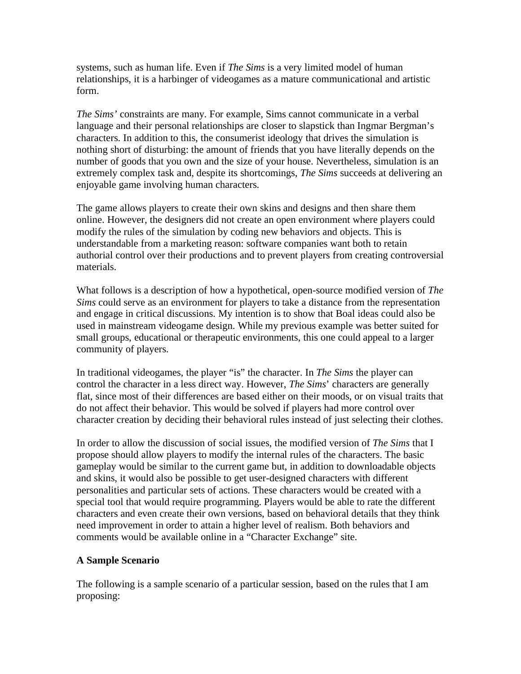systems, such as human life. Even if *The Sims* is a very limited model of human relationships, it is a harbinger of videogames as a mature communicational and artistic form.

*The Sims'* constraints are many. For example, Sims cannot communicate in a verbal language and their personal relationships are closer to slapstick than Ingmar Bergman's characters. In addition to this, the consumerist ideology that drives the simulation is nothing short of disturbing: the amount of friends that you have literally depends on the number of goods that you own and the size of your house. Nevertheless, simulation is an extremely complex task and, despite its shortcomings, *The Sims* succeeds at delivering an enjoyable game involving human characters.

The game allows players to create their own skins and designs and then share them online. However, the designers did not create an open environment where players could modify the rules of the simulation by coding new behaviors and objects. This is understandable from a marketing reason: software companies want both to retain authorial control over their productions and to prevent players from creating controversial materials.

What follows is a description of how a hypothetical, open-source modified version of *The Sims* could serve as an environment for players to take a distance from the representation and engage in critical discussions. My intention is to show that Boal ideas could also be used in mainstream videogame design. While my previous example was better suited for small groups, educational or therapeutic environments, this one could appeal to a larger community of players.

In traditional videogames, the player "is" the character. In *The Sims* the player can control the character in a less direct way. However, *The Sims*' characters are generally flat, since most of their differences are based either on their moods, or on visual traits that do not affect their behavior. This would be solved if players had more control over character creation by deciding their behavioral rules instead of just selecting their clothes.

In order to allow the discussion of social issues, the modified version of *The Sims* that I propose should allow players to modify the internal rules of the characters. The basic gameplay would be similar to the current game but, in addition to downloadable objects and skins, it would also be possible to get user-designed characters with different personalities and particular sets of actions. These characters would be created with a special tool that would require programming. Players would be able to rate the different characters and even create their own versions, based on behavioral details that they think need improvement in order to attain a higher level of realism. Both behaviors and comments would be available online in a "Character Exchange" site.

# **A Sample Scenario**

The following is a sample scenario of a particular session, based on the rules that I am proposing: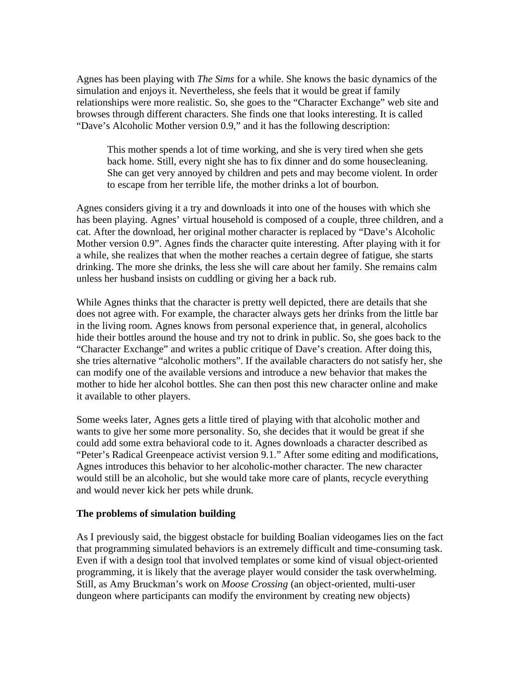Agnes has been playing with *The Sims* for a while. She knows the basic dynamics of the simulation and enjoys it. Nevertheless, she feels that it would be great if family relationships were more realistic. So, she goes to the "Character Exchange" web site and browses through different characters. She finds one that looks interesting. It is called "Dave's Alcoholic Mother version 0.9," and it has the following description:

This mother spends a lot of time working, and she is very tired when she gets back home. Still, every night she has to fix dinner and do some housecleaning. She can get very annoyed by children and pets and may become violent. In order to escape from her terrible life, the mother drinks a lot of bourbon.

Agnes considers giving it a try and downloads it into one of the houses with which she has been playing. Agnes' virtual household is composed of a couple, three children, and a cat. After the download, her original mother character is replaced by "Dave's Alcoholic Mother version 0.9". Agnes finds the character quite interesting. After playing with it for a while, she realizes that when the mother reaches a certain degree of fatigue, she starts drinking. The more she drinks, the less she will care about her family. She remains calm unless her husband insists on cuddling or giving her a back rub.

While Agnes thinks that the character is pretty well depicted, there are details that she does not agree with. For example, the character always gets her drinks from the little bar in the living room. Agnes knows from personal experience that, in general, alcoholics hide their bottles around the house and try not to drink in public. So, she goes back to the "Character Exchange" and writes a public critique of Dave's creation. After doing this, she tries alternative "alcoholic mothers". If the available characters do not satisfy her, she can modify one of the available versions and introduce a new behavior that makes the mother to hide her alcohol bottles. She can then post this new character online and make it available to other players.

Some weeks later, Agnes gets a little tired of playing with that alcoholic mother and wants to give her some more personality. So, she decides that it would be great if she could add some extra behavioral code to it. Agnes downloads a character described as "Peter's Radical Greenpeace activist version 9.1." After some editing and modifications, Agnes introduces this behavior to her alcoholic-mother character. The new character would still be an alcoholic, but she would take more care of plants, recycle everything and would never kick her pets while drunk.

#### **The problems of simulation building**

As I previously said, the biggest obstacle for building Boalian videogames lies on the fact that programming simulated behaviors is an extremely difficult and time-consuming task. Even if with a design tool that involved templates or some kind of visual object-oriented programming, it is likely that the average player would consider the task overwhelming. Still, as Amy Bruckman's work on *Moose Crossing* (an object-oriented, multi-user dungeon where participants can modify the environment by creating new objects)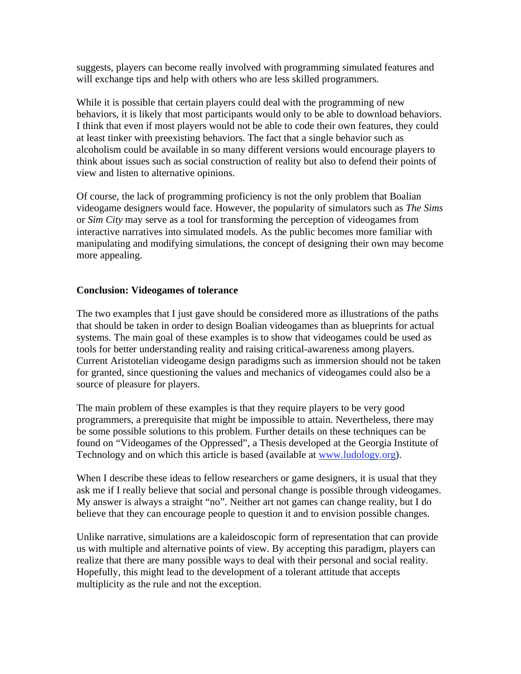suggests, players can become really involved with programming simulated features and will exchange tips and help with others who are less skilled programmers.

While it is possible that certain players could deal with the programming of new behaviors, it is likely that most participants would only to be able to download behaviors. I think that even if most players would not be able to code their own features, they could at least tinker with preexisting behaviors. The fact that a single behavior such as alcoholism could be available in so many different versions would encourage players to think about issues such as social construction of reality but also to defend their points of view and listen to alternative opinions.

Of course, the lack of programming proficiency is not the only problem that Boalian videogame designers would face. However, the popularity of simulators such as *The Sims* or *Sim City* may serve as a tool for transforming the perception of videogames from interactive narratives into simulated models. As the public becomes more familiar with manipulating and modifying simulations, the concept of designing their own may become more appealing.

## **Conclusion: Videogames of tolerance**

The two examples that I just gave should be considered more as illustrations of the paths that should be taken in order to design Boalian videogames than as blueprints for actual systems. The main goal of these examples is to show that videogames could be used as tools for better understanding reality and raising critical-awareness among players. Current Aristotelian videogame design paradigms such as immersion should not be taken for granted, since questioning the values and mechanics of videogames could also be a source of pleasure for players.

The main problem of these examples is that they require players to be very good programmers, a prerequisite that might be impossible to attain. Nevertheless, there may be some possible solutions to this problem. Further details on these techniques can be found on "Videogames of the Oppressed", a Thesis developed at the Georgia Institute of Technology and on which this article is based (available at www.ludology.org).

When I describe these ideas to fellow researchers or game designers, it is usual that they ask me if I really believe that social and personal change is possible through videogames. My answer is always a straight "no". Neither art not games can change reality, but I do believe that they can encourage people to question it and to envision possible changes.

Unlike narrative, simulations are a kaleidoscopic form of representation that can provide us with multiple and alternative points of view. By accepting this paradigm, players can realize that there are many possible ways to deal with their personal and social reality. Hopefully, this might lead to the development of a tolerant attitude that accepts multiplicity as the rule and not the exception.